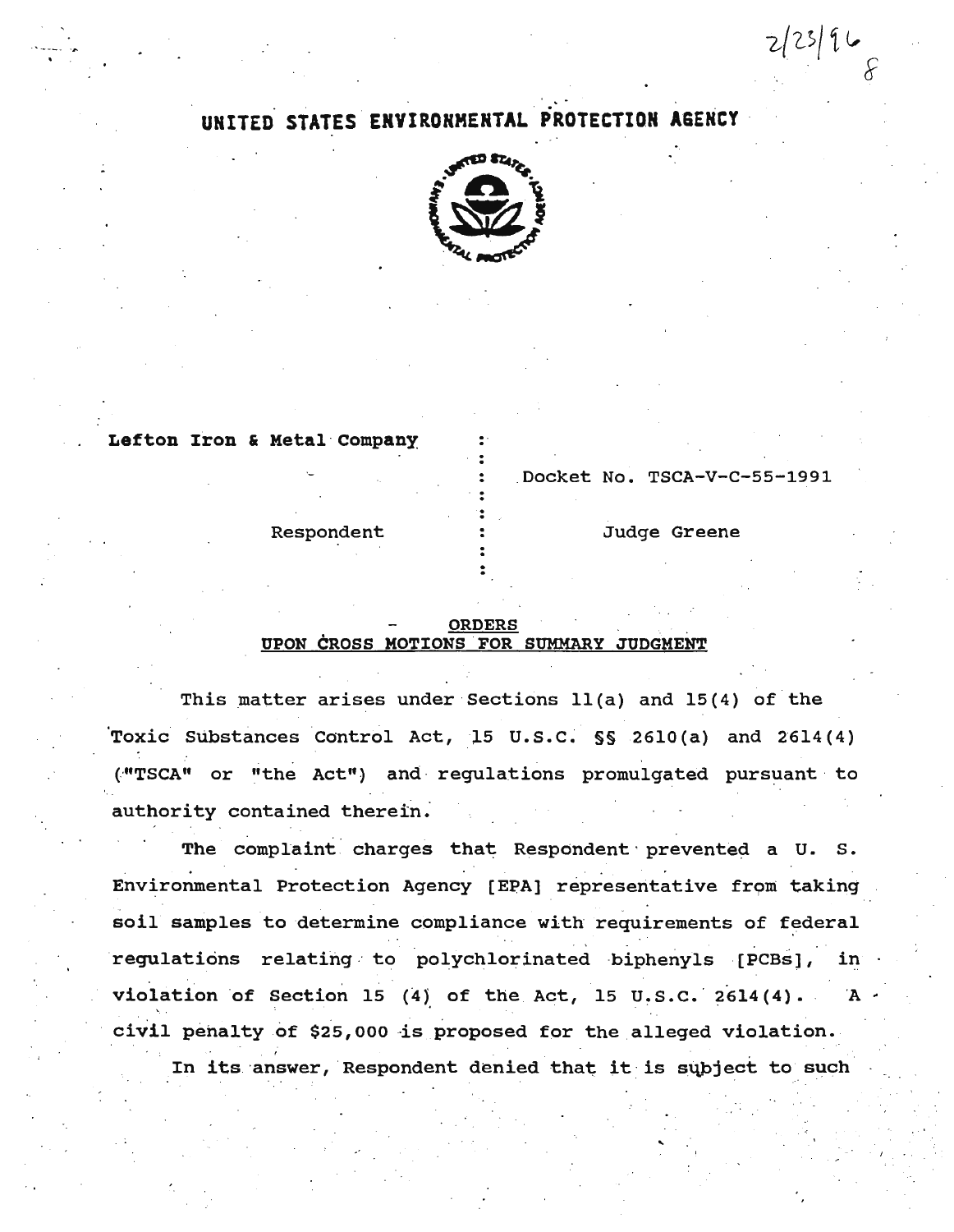# UNITED STATES ENVIRONMENTAL PROTECTION AGENCY



Lefton Iron & Metal Company

Docket No. TSCA-V-C-55-1991

Judge Greene

 $2(23)$  9  $\circ$ 

Respondent

#### **ORDERS** UPON CROSS MOTIONS FOR SUMMARY JUDGMENT

This matter arises under Sections 11(a) and 15(4) of the Toxic Substances Control Act, 15 U.S.C. §§ 2610(a) and 2614(4) ("TSCA" or "the Act") and regulations promulgated pursuant to authority contained therein.

The complaint charges that Respondent prevented a U. S. Environmental Protection Agency [EPA] representative from taking soil samples to determine compliance with requirements of federal regulations relating to polychlorinated biphenyls [PCBs], in violation of Section 15 (4) of the Act, 15 U.S.C. 2614(4).  $\mathbf{A}$ civil penalty of \$25,000 is proposed for the alleged violation.

In its answer, Respondent denied that it is subject to such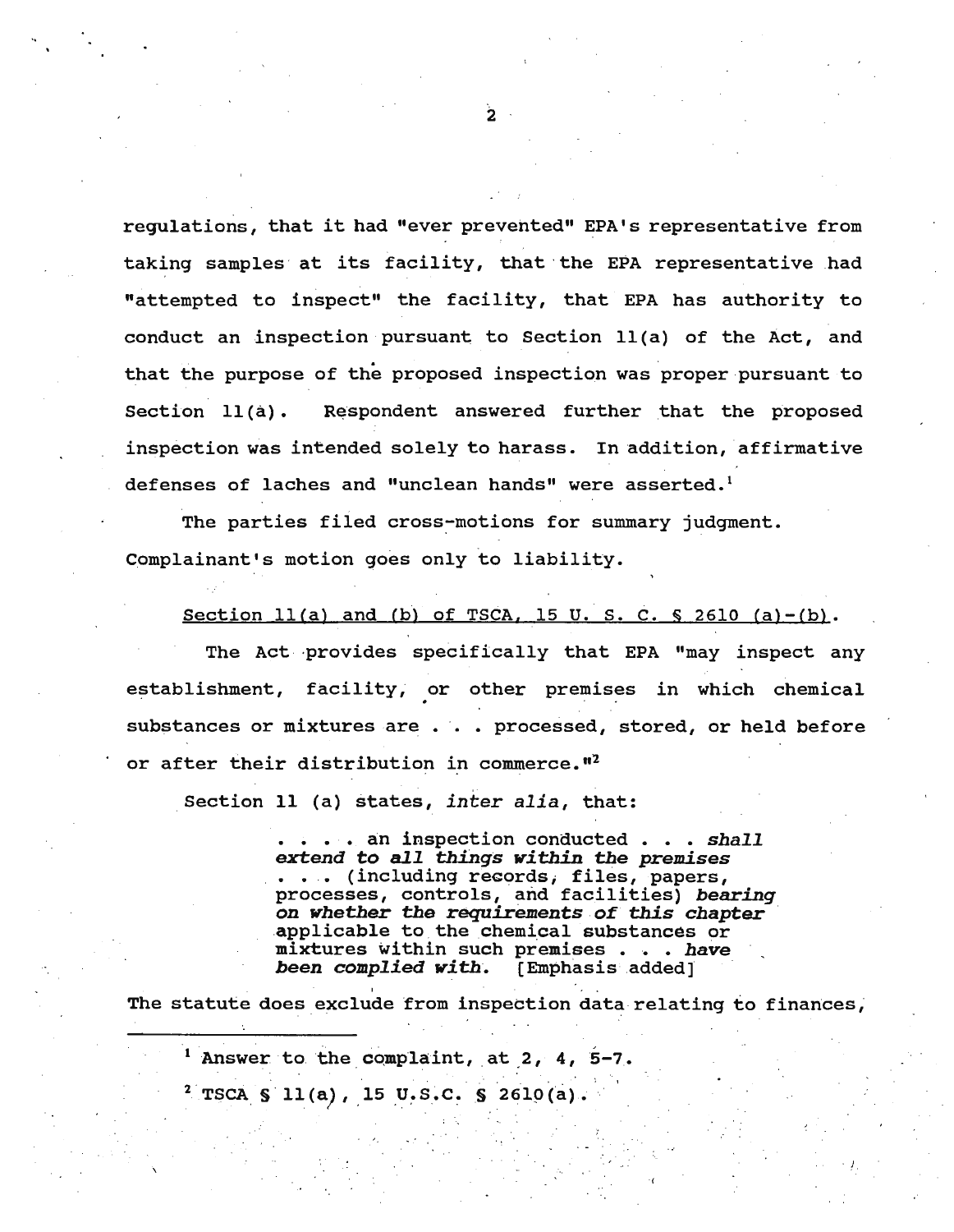regulations, that it had "ever prevented" EPA's representative from taking samples· at its facility, that ·the EPA representative had "attempted to inspect" the facility, that EPA has authority to conduct an inspection pursuant to Section ll(a) of the Act, and that the purpose of the proposed inspection was proper pursuant to Section 11(a). Respondent answered further that the proposed inspection was intended solely to harass. In addition, affirmative defenses of laches and "unclean hands" were asserted.<sup>1</sup>

The parties filed cross-motions for summary judgment. complainant's motion goes only to liability.

Section  $11(a)$  and (b) of TSCA, 15 U.S. C. § 2610 (a)-(b).

The Act ·provides specifically that EPA "may inspect any establishment, facility; or other premises in which chemical substances or mixtures are . . . processed, stored, or held before or after their distribution in commerce."<sup>2</sup>

Section 11 (a) states, *inter alia,* that:

**extend to all things within the premises** extend to all things within the premises extend to all things within the premises . . . (including records, files, papers, processes; controls, and facilities) *bearing*  processes, concrois, and racificies, *bearing*<br>on whether the requirements of this chapter<br>applicable to the chemical substances or applicable to the chemical substances or mixtures within such premises . . . have *been complied with.* (Emphasis added]

. 1

The statute does exclude from inspection data relating to finances,

<sup>1</sup> Answer to the complaint, at 2, 4, 5-7. <sup>2</sup> TSCA § 11(a), 15 U.S.C. § 2610(a).

 $\overline{2}$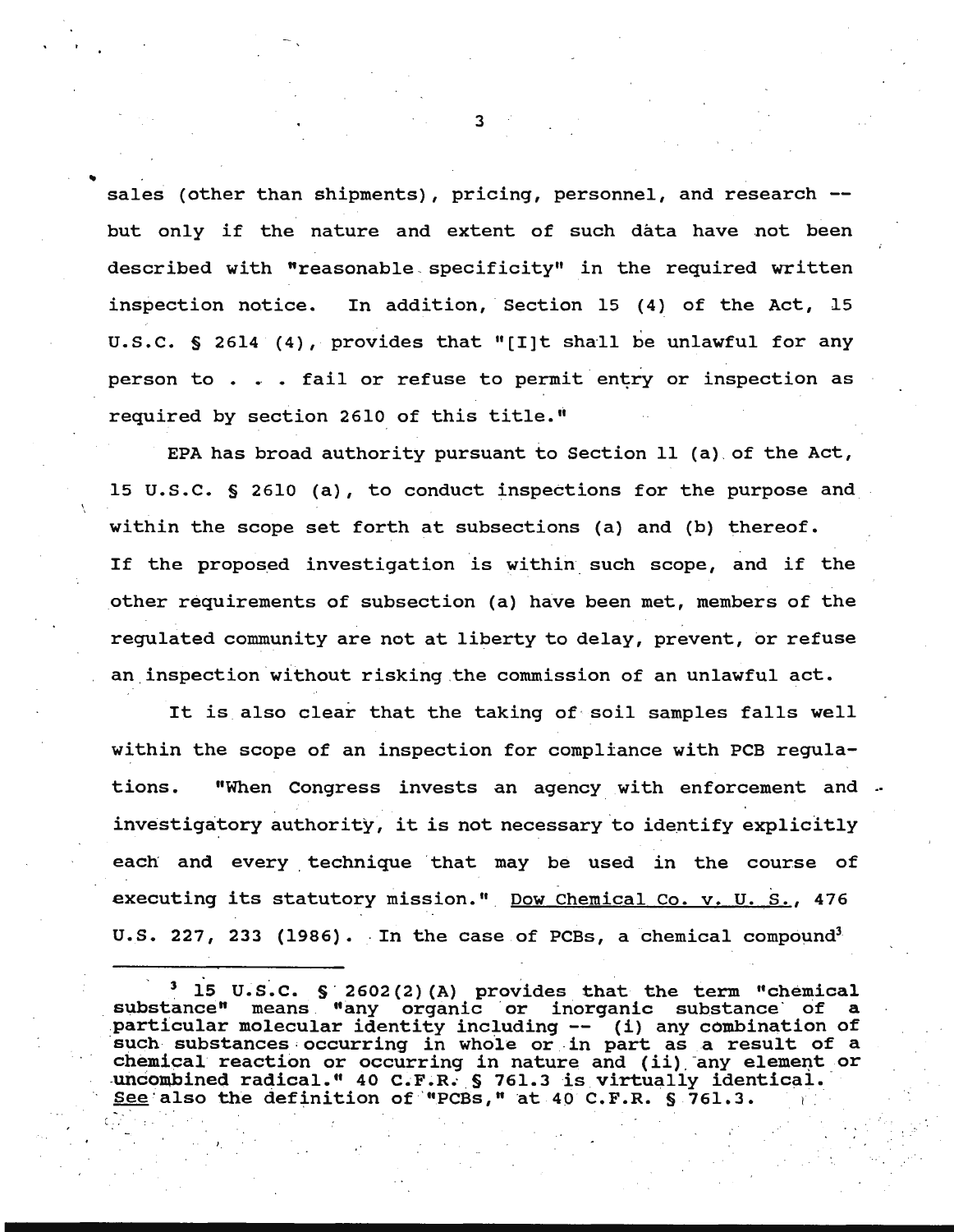sales (other than shipments), pricing, personnel, and research -but only if the nature and extent of such data have not been described with "reasonable specificity" in the required written inspection notice. In addition, Section 15 (4) of the Act, 15 u.s.c. § 2614 (4), provides that "[I]t shall be unlawful for any person to  $\ldots$  . fail or refuse to permit entry or inspection as required by section 2610 of this title.''

EPA has broad authority pursuant to Section 11 (a) of the Act, 15 u.s.c. § 2610 (a), to conduct inspections for the purpose and within the scope set forth at subsections (a) and (b) thereof. If the proposed investigation is within such scope, and if the other requirements of subsection (a) have been met, members of the regulated community are not at liberty to delay, prevent, or refuse an inspection without risking the commission of an unlawful act.

It is also clear that the taking of· soil samples falls well within the scope of an inspection for compliance with PCB regulations. "When Congress invests an agency with enforcement and .. investigatory authority, it is not necessary to identify explicitly each and every technique that may be used in the course of executing its statutory mission." Dow Chemical Co. v. U. S., 476 U.S. 227, 233 (1986). In the case of PCBs, a chemical compound<sup>3</sup>

'·

3

..

<sup>15</sup> U.S.C. § 2602(2)(A) provides that the term "chemical substance" means "any organic or inorganic substance of particular molecular identity including -- (i) any combination of such substances occurring in whole or in part as a result of a chemical reaction or occurring in nature and (ii) any element or uncombined radical." 40 C.F.R. § 761.3 is virtually identical.<br>See also the definition of "PCBs," at 40 C.F.R. § 761.3.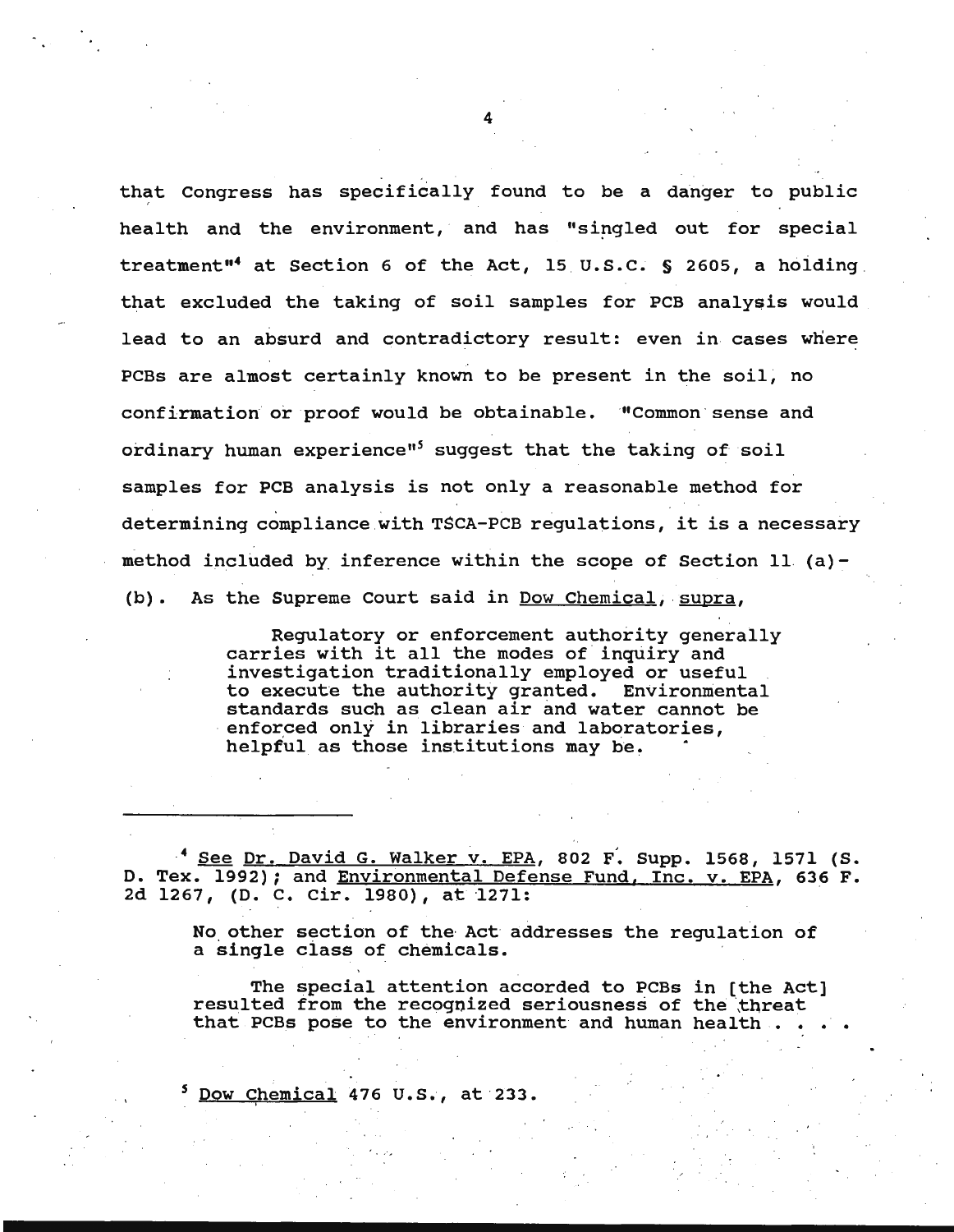that Congress has specifically found to be a danger to public health and the environment, and has "singled out for special treatment"<sup>4</sup> at Section 6 of the Act, 15 U.S.C.  $S$  2605, a holding that excluded the taking of soil samples for PCB analysis would lead to an absurd and contradictory result: even in cases where PCBs are almost certainly known to be present in the soil, no confirmation or proof would be obtainable. "Common sense and ordinary human experience"<sup>5</sup> suggest that the taking of soil samples for PCB analysis is not only a reasonable method for determining compliance with TSCA-PCB regulations, it is a necessary method included by inference within the scope of Section 11 (a)-(b). As the supreme court said in Dow Chemical, supra,

> Regulatory or enforcement authority generally carries with it all the modes of inquiry and investigation traditionally employed or useful to execute the authority granted. Environmental standards such as clean air and water cannot be enforced only in libraries and laboratories, helpful as those institutions may be.

<sup>4</sup> See Dr. David G. Walker v. EPA, 802 F. Supp. 1568, 1571 (S. D. Tex. 1992); and Environmental Defense Fund, Inc. v. EPA, 636 F. 2d 1267, (D. C. Cir. 1980), at 1271:

No other section of the· Act addresses the regulation of a single ciass of chemicals.

The special attention accorded to PCBs in [the Act] resulted from the recognized seriousness of the threat that PCBs pose to the environment and human health.

<sup>5</sup> Dow Chemical 476 U.S., at 233.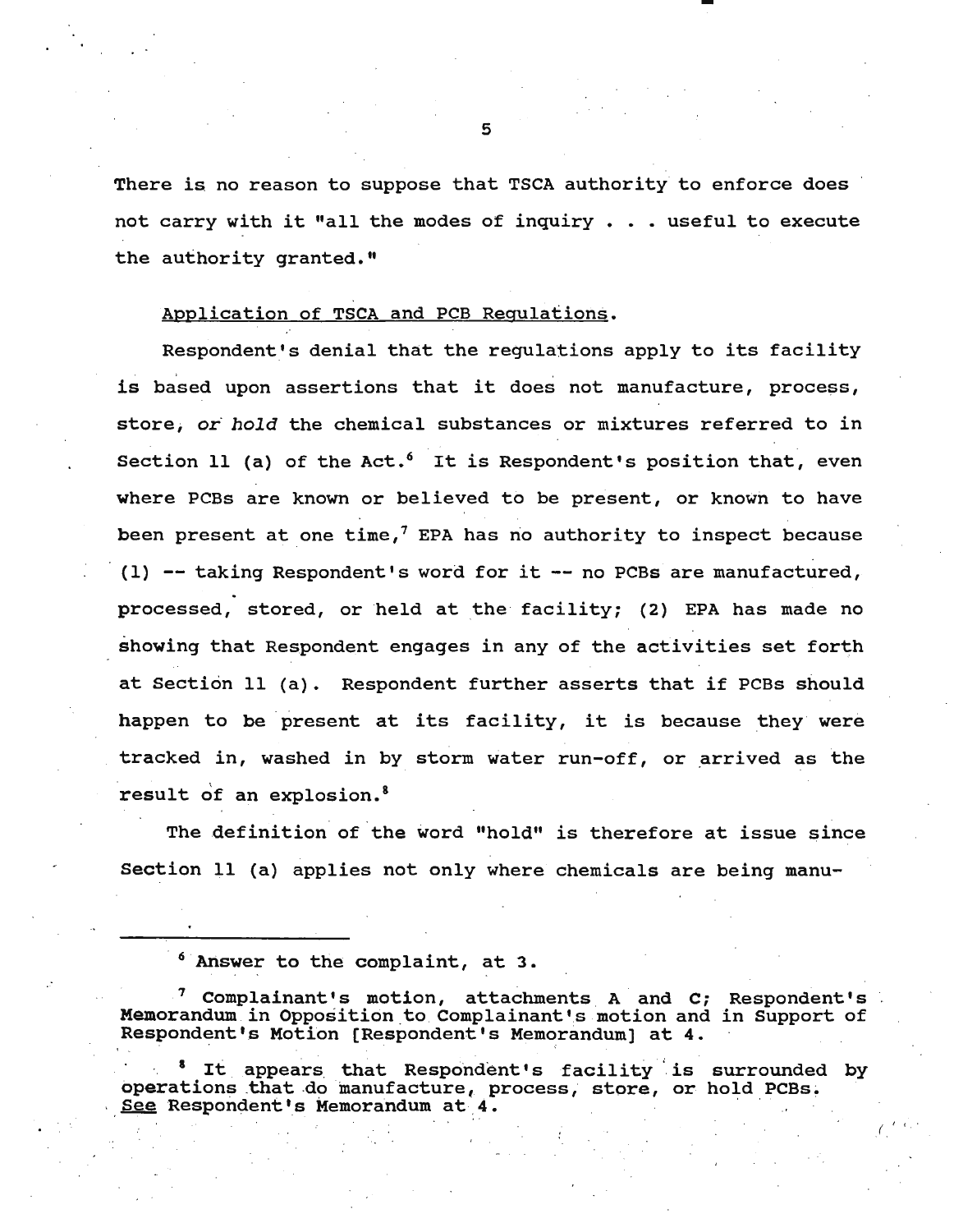There is no reason to suppose that TSCA authority to enforce does not carry with it "all the modes of inquiry  $\ldots$  useful to execute the authority granted."

### Application of TSCA and PCB Regulations.

Respondent's denial that the regulations apply to its facility is based upon assertions that it does not manufacture, process, store; or *hold* the chemical substances or mixtures referred to in Section 11 (a) of the Act.<sup>6</sup> It is Respondent's position that, even where PCBs are known or believed to be present, or known to have been present at one time,<sup>7</sup> EPA has no authority to inspect because (1)  $-$  taking Respondent's word for it  $-$  no PCBs are manufactured, processed, stored, or held at the facility; (2) EPA has made no showing that Respondent engages in any of the activities set forth at Section 11 (a). Respondent further asserts that if PCBs should happen to be present at its facility, it is because they were tracked in, washed in by storm water run-off, or arrived as the result of an explosion.<sup>8</sup>

The definition of the word "hold" is therefore at issue since Section 11 (a) applies not only where chemicals are being manu-

<sup>8</sup> It appears that Respondent's facility is operations that do manufacture, process, store, or See Respondent's Memorandum at 4. surrounded by hold PCBs.

*\_(.* I 1 . . •

<sup>&</sup>lt;sup>6</sup> Answer to the complaint, at 3.

 $^7$  Complainant's motion, attachments A and C; Respondent's Memorandum in Opposition to Complainant's motion and in Support of Respondent's Motion [Respondent's Memorandum) at 4.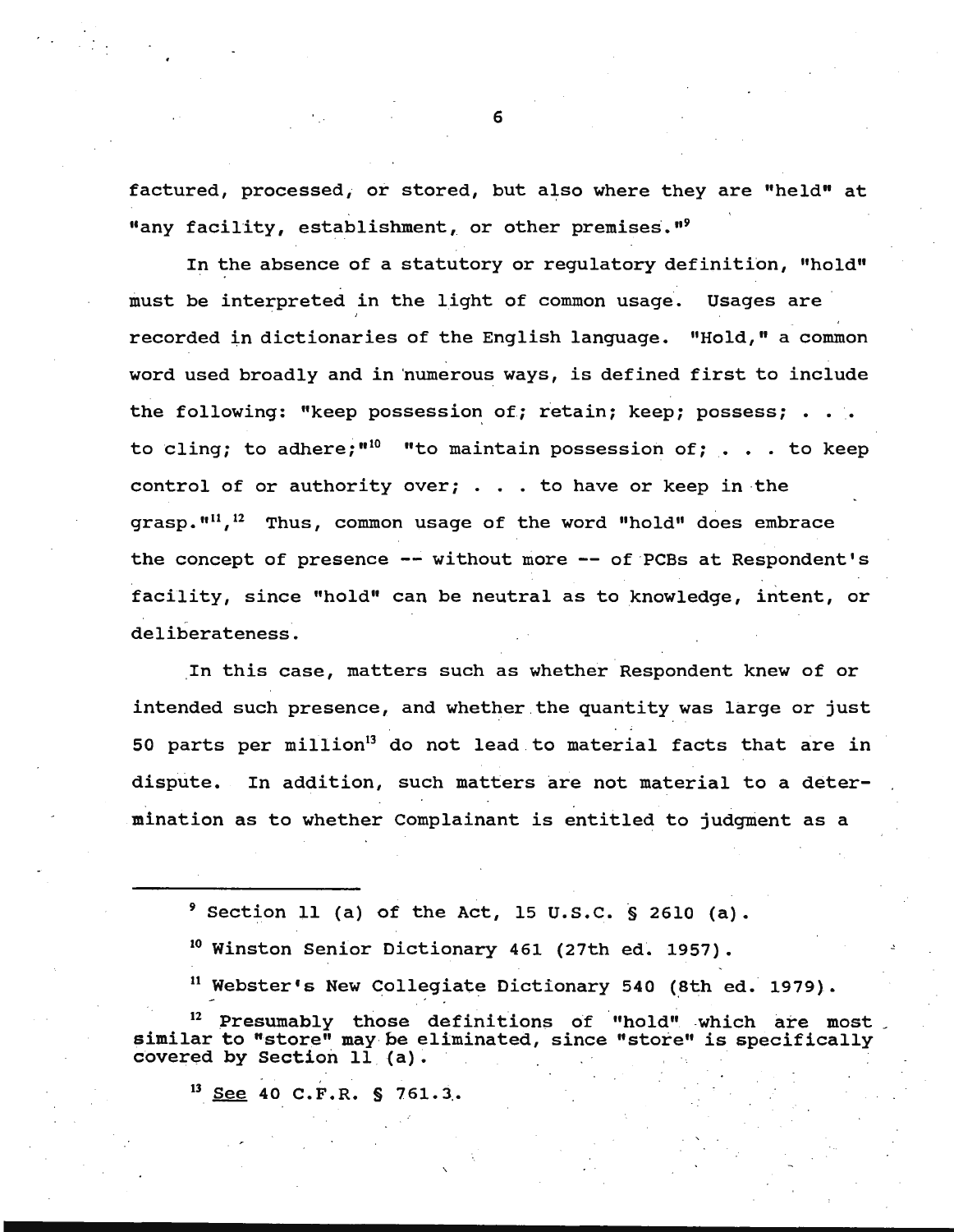factured, processed, or stored, but also where they are "held" at "any facility, establishment, or other premises."<sup>9</sup>

In the absence of a statutory or regulatory definition, "hold" must be interpreted in the light of common usage. Usages are recorded in dictionaries of the English language. "Hold," a common word used broadly and in 'numerous ways, is defined first to include the following: "keep possession of; retain; keep; possess;  $\cdot \cdot \cdot$ to cling; to adhere;"<sup>10</sup> "to maintain possession of;  $\ldots$  to keep control of or authority over; . . . to have or keep in the grasp. $"''$ <sup>11</sup>,<sup>12</sup> Thus, common usage of the word "hold" does embrace the concept of presence -- without more -- of PCBs at Respondent's facility, since "hold" can be neutral as to knowledge, intent, or deliberateness.

In this case, matters such as whether Respondent knew of or intended such presence, and whether the quantity was large or just 50 parts per million<sup>13</sup> do not lead to material facts that are in dispute. In addition, such matters are not material to a determination as to whether Complainant is entitled to judgment as a

 $9$  Section 11 (a) of the Act, 15 U.S.C. § 2610 (a).

<sup>10</sup> Winston Senior Dictionary 461 (27th ed. 1957).

<sup>11</sup> Webster's New Collegiate Dictionary 540 (8th ed. 1979).

<sup>12</sup> Presumably those definitions of "hold" which are most<br>similar to "store" may be eliminated, since "store" is specifically covered by Section  $1\bar{1}$  (a).

 $^{13}$  See 40 C.F.R. § 761.3.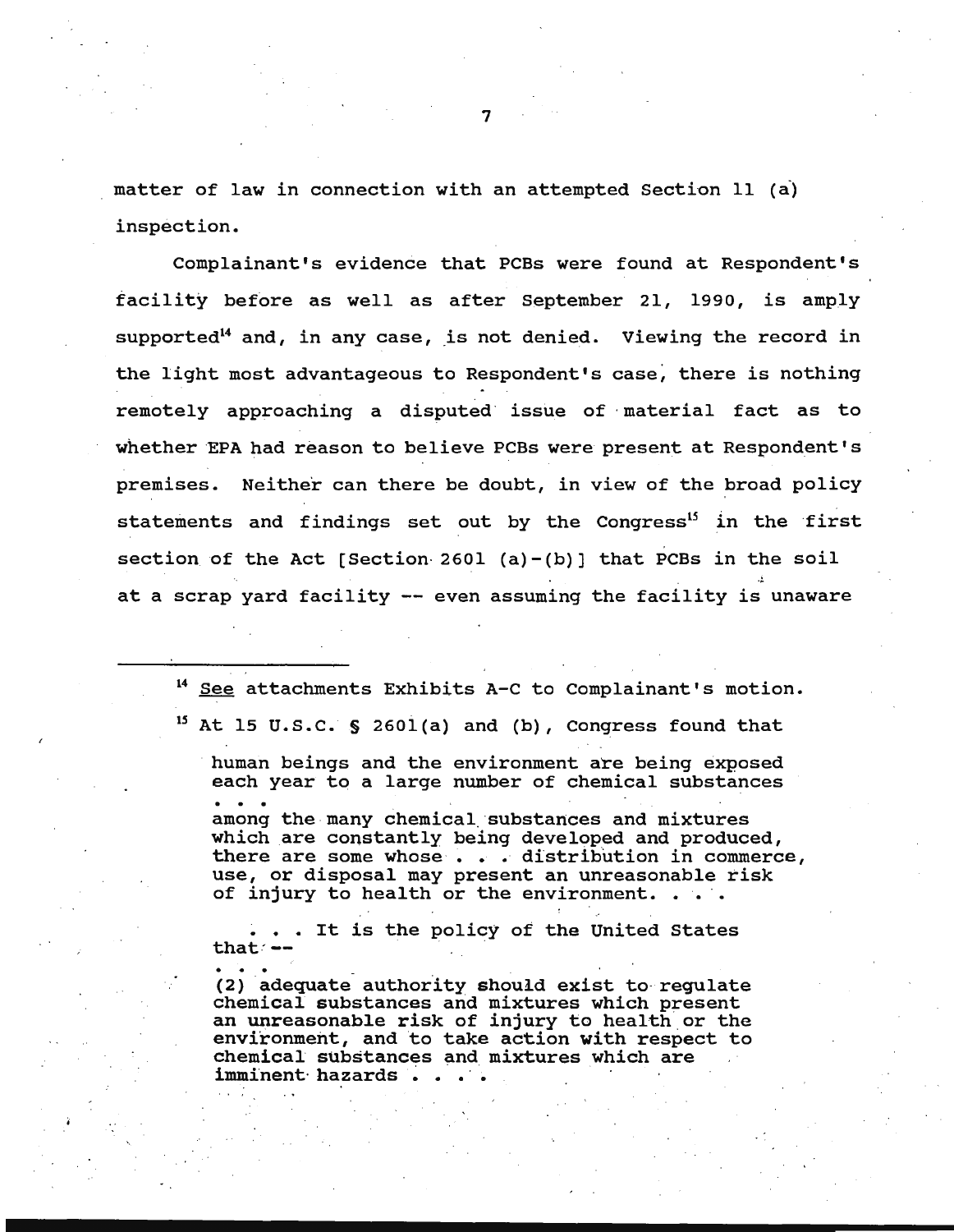matter of law in connection with an attempted Section 11 (a) inspection.

Complainant's evidence that PCBs were found at Respondent's facility before as well as after September 21, 1990, is amply supported<sup>14</sup> and, in any case, is not denied. Viewing the record in the light most advantageous to Respondent's case, there is nothing remotely approaching a disputed issue of material fact as to whether EPA had reason to believe PCBs were present at Respondent's premises. Neither can there be doubt, in view of the broad policy statements and findings set out by the Congress<sup>15</sup> in the first section of the Act [Section 2601 (a)-(b)] that PCBs in the soil at a scrap yard facility -- even assuming the facility is unaware

<sup>14</sup> See attachments Exhibits A-C to Complainant's motion. *<sup>15</sup>*At 15 u.s.c. § 260l{a) and (b), Congress found that

human beings and the environment are being exposed each year to a large number of chemical substances among the many chemical substances and mixtures which are constantly being developed and produced, there are some whose . . . distribution in commerce, use, or disposal may present an unreasonable risk of injury to health or the environment. . . .

<sup>~</sup>• • It is the policy of the United states that ~- · ·

(2) adequate authority should exist to regulate chemical substances and mixtures which present an unreasonable risk of injury to health or the environment, and to take action with respect to chemical substances and mixtures which are imminent hazards ..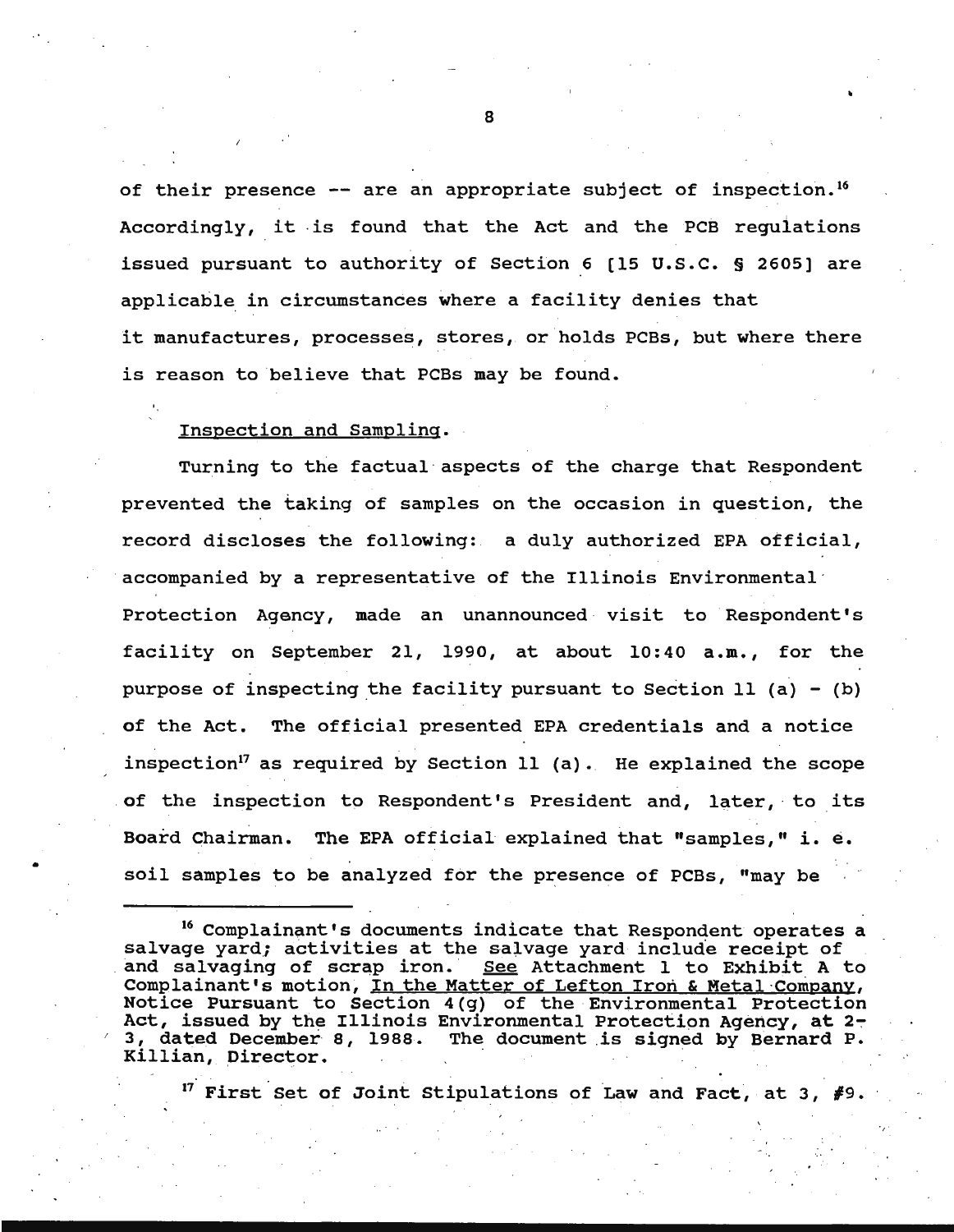of their presence -- are an appropriate subject of inspection.<sup>16</sup> Accordingly, it is found that the Act and the PCB regulations issued pursuant to authority of Section 6 (15 u.s.c. § 2605) are applicable in circumstances where a facility denies that it manufactures, processes, stores, or holds PCBs, but where there is reason to believe that PCBs may be found.

#### Inspection and Sampling.

•

Turning to the factual·aspects of the charge that Respondent prevented the taking of samples on the occasion in question, the record discloses the following: a duly authorized EPA official, accompanied by a representative of the Illinois Environmental  $\cdot$ Protection Agency, made an unannounced visit to Respondent's facility on September 21, 1990, at about 10:40 a.m., for the purpose of inspecting the facility pursuant to Section 11 (a) - (b) of the Act. The official presented EPA credentials and a notice inspection<sup>17</sup> as required by Section 11 (a). He explained the scope of the inspection to Respondent's President and, later, to its Board Chairman. The EPA official explained that "samples," i. *e .*  soil samples to be analyzed for the presence of PCBs, "may be

<sup>16</sup> Complainant's documents indicate that Respondent operates a salvage yard; activities at the salvage yard include receipt of and salvaging of scrap iron. See Attachment 1 to Exhibit A t See Attachment 1 to Exhibit A to Complainant's motion, In the Matter of Lefton Iron & Metal Company, Notice Pursuant to Section 4(g) of the Environmental Protection Act, issued by the Illinois Environmental Protection Agency, at 2-3, dated December 8, 1988. The document is signed by Bernard P.<br>Killian, Director.

<sup>17</sup> First Set of Joint Stipulations of Law and Fact, at 3,  $#9$ .

·,·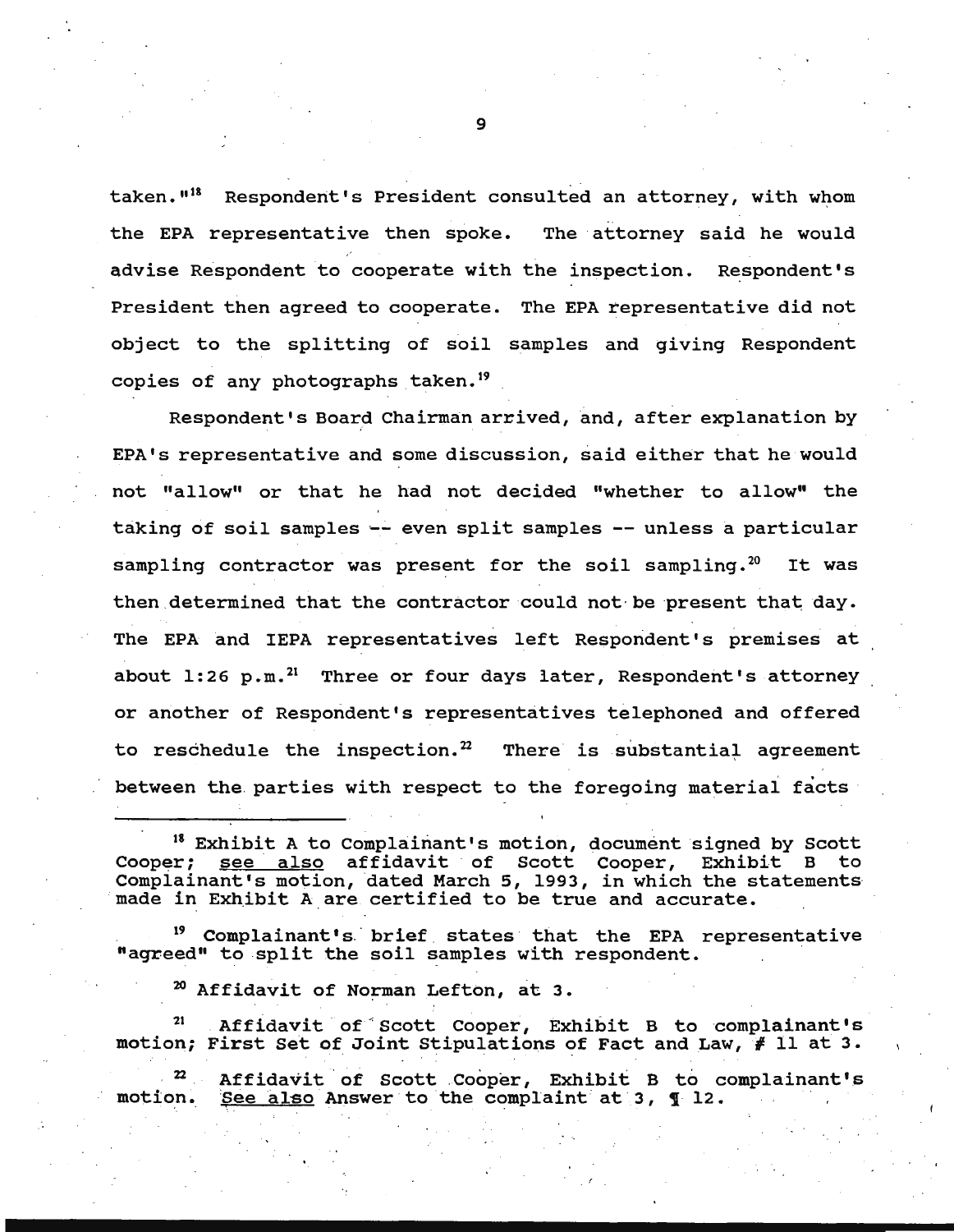taken."<sup>18</sup> Respondent's President consulted an attorney, with whom the EPA representative then spoke. The attorney said he would advise Respondent to cooperate with the inspection. Respondent's President then agreed to cooperate. The EPA representative did not object to the splitting of soil samples and giving Respondent copies of any photographs taken.<sup>19</sup>

Respondent's Board Chairman arrived, and, after explanation by <sup>i</sup> EPA's representative and some discussion, said either that he would not "allow" or that he had not decided "whether to allow" the taking of soil samples -- even split samples -- unless a particular sampling contractor was present for the soil sampling.<sup>20</sup> It was then determined that the contractor could not be present that day. The EPA and IEPA representatives left Respondent's premises at about  $1:26$  p.m.<sup>21</sup> Three or four days later, Respondent's attorney or another of Respondent's representatives telephoned and offered to reschedule the inspection.<sup>22</sup> There is substantial agreement between the parties with respect to the foregoing material facts

18 Exhibit A to Complainant's motion, document signed by Scott Cooper; <u>see also</u> affidavit of Scott Cooper, Exhibit B to Complainant's motion, dated March 5, 1993, in which the statements ... made in Exhibit A are certified to be true and accurate.

Complainant's brief states that the EPA representative "agreed" to split the soil samples with respondent.

 $20$  Affidavit of Norman Lefton, at 3.

Affidavit of Scott Cooper, Exhibit B to complainant's motion; First Set of Joint Stipulations of Fact and Law, # 11 at 3.

22 motion. Affidavit of Scott Cooper, Exhibit B to complainant's See also Answer to the complaint at 3, 1 12.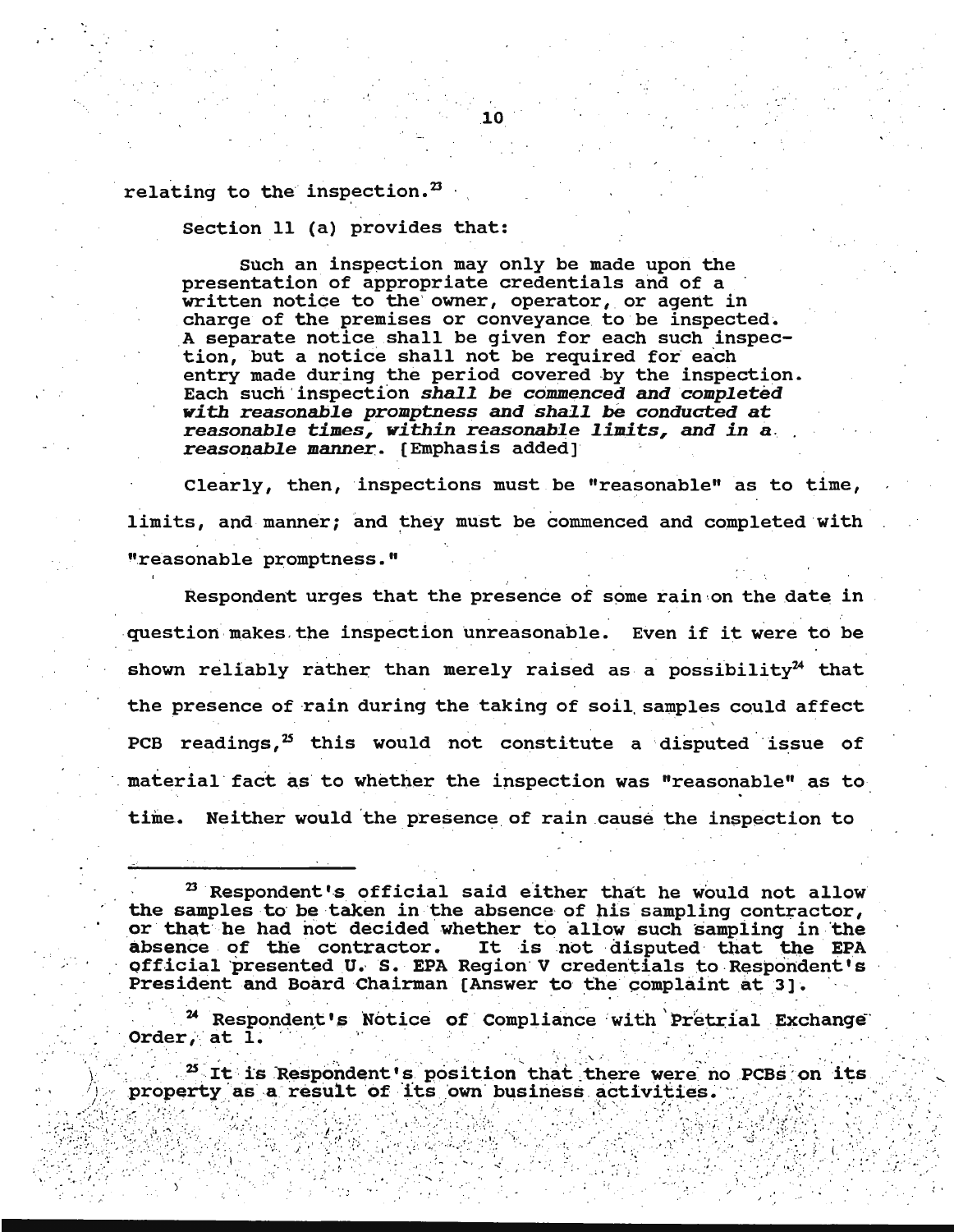relating to the inspection.<sup>23</sup>

Section 11 (a) provides that:

Such an inspection may only be made upon the presentation of appropriate credentials and of a written notice to the owner, operator, or agent in charge of the premises or conveyance to be inspected. A separate notice shall be given for each such inspection, but a notice shall not be required for each entry made during the period covered by the inspection. Each such inspection shall be commenced and completed with reasonable promptness and shall be conducted at reasonable times, within reasonable limits, and in a reasonable manner. [Emphasis added]

Clearly, then, inspections must be "reasonable" as to time, limits, and manner; and they must be commenced and completed with "reasonable promptness."

Respondent urges that the presence of some rain on the date in question makes the inspection unreasonable. Even if it were to be shown reliably rather than merely raised as a possibility $24$  that the presence of rain during the taking of soil samples could affect PCB readings,<sup>25</sup> this would not constitute a disputed issue of material fact as to whether the inspection was "reasonable" as to time. Neither would the presence of rain cause the inspection to

<sup>24</sup> Respondent's Notice of Compliance with Pretrial Exchange Order, at  $\overline{1}$ .

<sup>25</sup> It is Respondent's position that there were no PCBs on its property as a result of its own business activities.

<sup>&</sup>lt;sup>23</sup> Respondent's official said either that he would not allow the samples to be taken in the absence of his sampling contractor, or that he had not decided whether to allow such sampling in the absence of the contractor. It is not disputed that the EPA official presented U. S. EPA Region V credentials to Respondent's President and Board Chairman [Answer to the complaint at 3].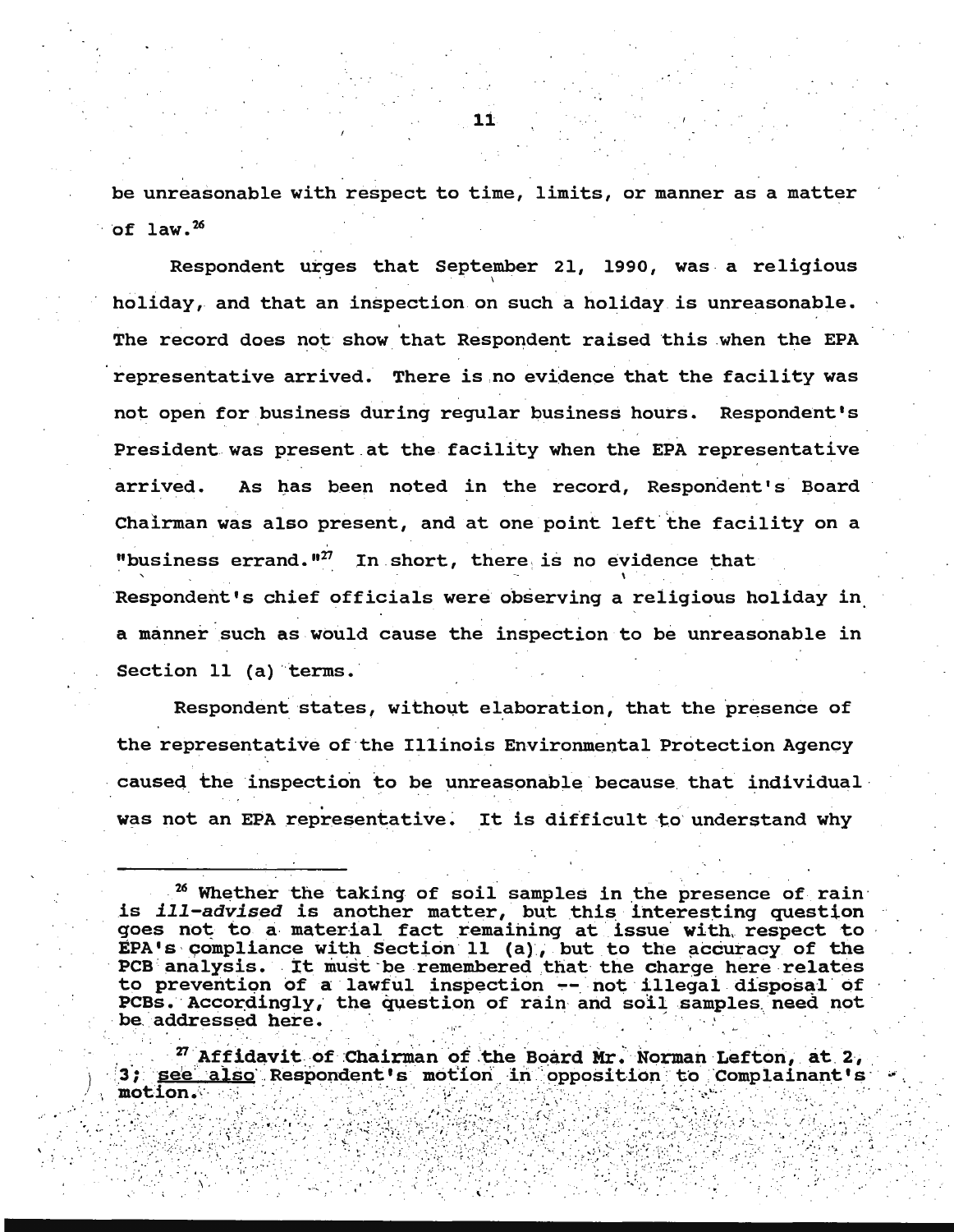be unreasonable with respect to time, limits, or manner as a matter of  $1aw.<sup>26</sup>$ 

Respondent urges that September 21, 1990, was a religious holiday, and that an inspection on such a holiday is unreasonable. The record does not show that Respondent raised this when the EPA representative arrived. There is no evidence that the facility was not open for business during regular business hours. Respondent's President was present at the facility when the EPA representative As has been noted in the record, Respondent's Board arrived. Chairman was also present, and at one point left the facility on a "business errand."<sup>27</sup> In short, there is no evidence that Respondent's chief officials were observing a religious holiday in a manner such as would cause the inspection to be unreasonable in Section 11 (a) terms.

Respondent states, without elaboration, that the presence of the representative of the Illinois Environmental Protection Agency caused the inspection to be unreasonable because that individual was not an EPA representative. It is difficult to understand why

<sup>26</sup> Whether the taking of soil samples in the presence of rain is *ill-advised* is another matter, but this interesting question<br>goes not to a material fact remaining at issue with respect to EPA's compliance with Section 11 (a), but to the accuracy of the PCB analysis. It must be remembered that the charge here relates to prevention of a lawful inspection -- not illegal disposal of PCBs. Accordingly, the question of rain and soil samples need not be addressed here.

<sup>27</sup> Affidavit of Chairman of the Board Mr. Norman Lefton, at 2, 3; see also Respondent's motion in opposition to Complainant's motion.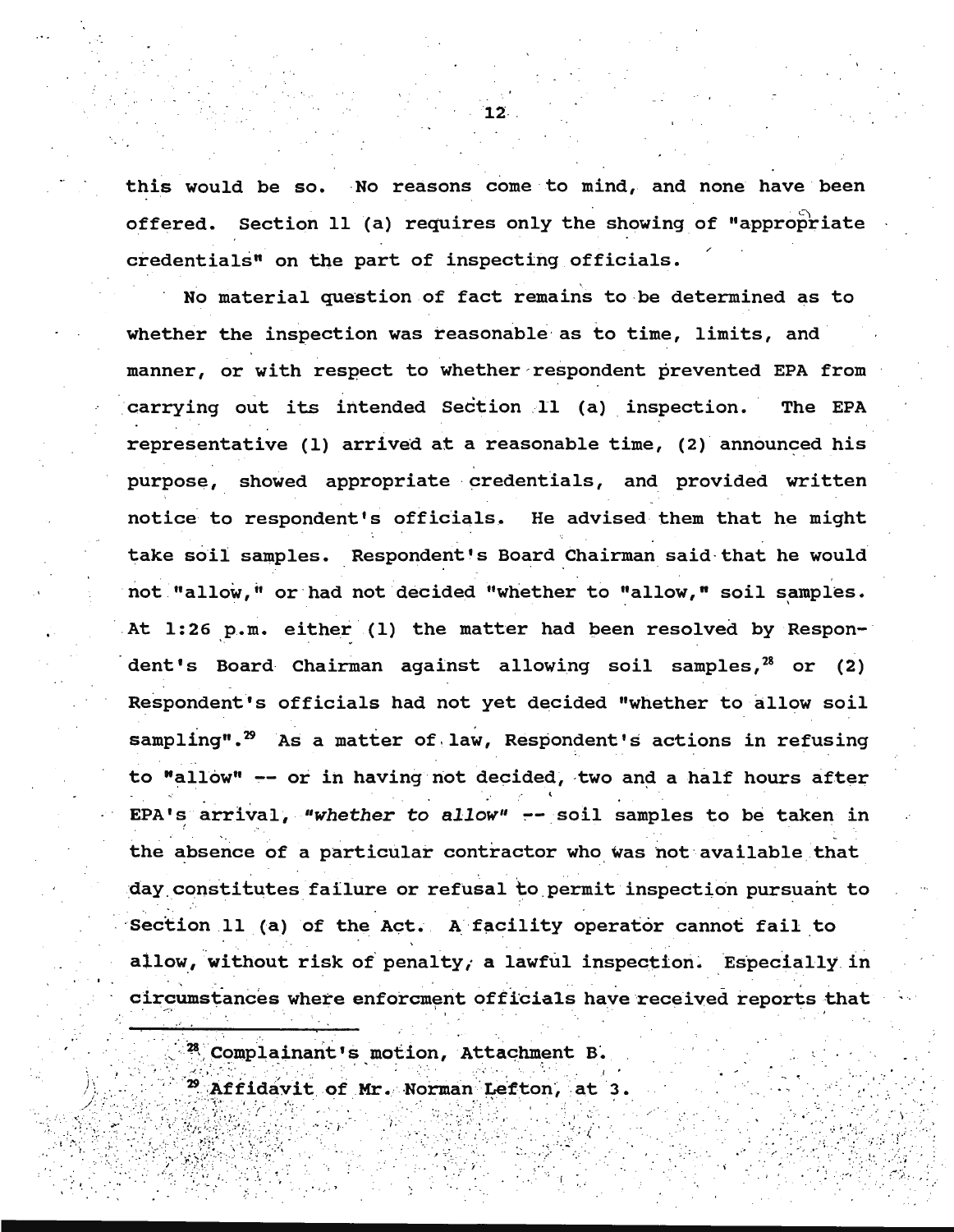this would be so. No reasons come to mind, and none have been offered. Section 11 (a) requires only the showing of "appropriate credentials" on the part of inspecting officials.

No material question of fact remains to be determined as to whether the inspection was reasonable as to time, limits, and manner, or with respect to whether respondent prevented EPA from carrying out its intended Section 11 (a) inspection. The EPA representative (1) arrived at a reasonable time, (2) announced his purpose, showed appropriate credentials, and provided written notice to respondent's officials. He advised them that he might take soil samples. Respondent's Board Chairman said that he would not "allow," or had not decided "whether to "allow," soil samples. At 1:26 p.m. either (1) the matter had been resolved by Respon- · dent's Board Chairman against allowing soil samples, $^{28}$  or (2) Respondent's officials had not yet decided "whether to allow soil sampling".<sup>29</sup> As a matter of law, Respondent's actions in refusing to "allow"  $-$  or in having not decided, two and a half hours after EPA's arrival, "whether to allow" -- soil samples to be taken in the absence of a particular contractor who was not available that day constitutes failure or refusal to permit inspection pursuant to Section 11 (a) of the Act. A facility operator cannot fail to allow, without risk of penalty, a lawful inspection. Especially in circumstances where enforcment officials have received reports that

•'

'i

 $28$  Complainant's motion, Attachment B.

,·;; ~ · ..,.·.>8-i:;l.· ·~ ( ' ; ' '; ;:.; ' ; ~:;~ .·· */* ··•···•· '

.· ·- . ~ .. · '· • ... -:·.

. ,..: , \_ · '· '··· , · ; o .. . ) ' .· •• ••• '. ··; ' (

 $\mathcal{L}_{\mathcal{L}}$ 

 $2^{\circ}$  Affidavit of Mr. Norman Lefton, at 3.

1.2-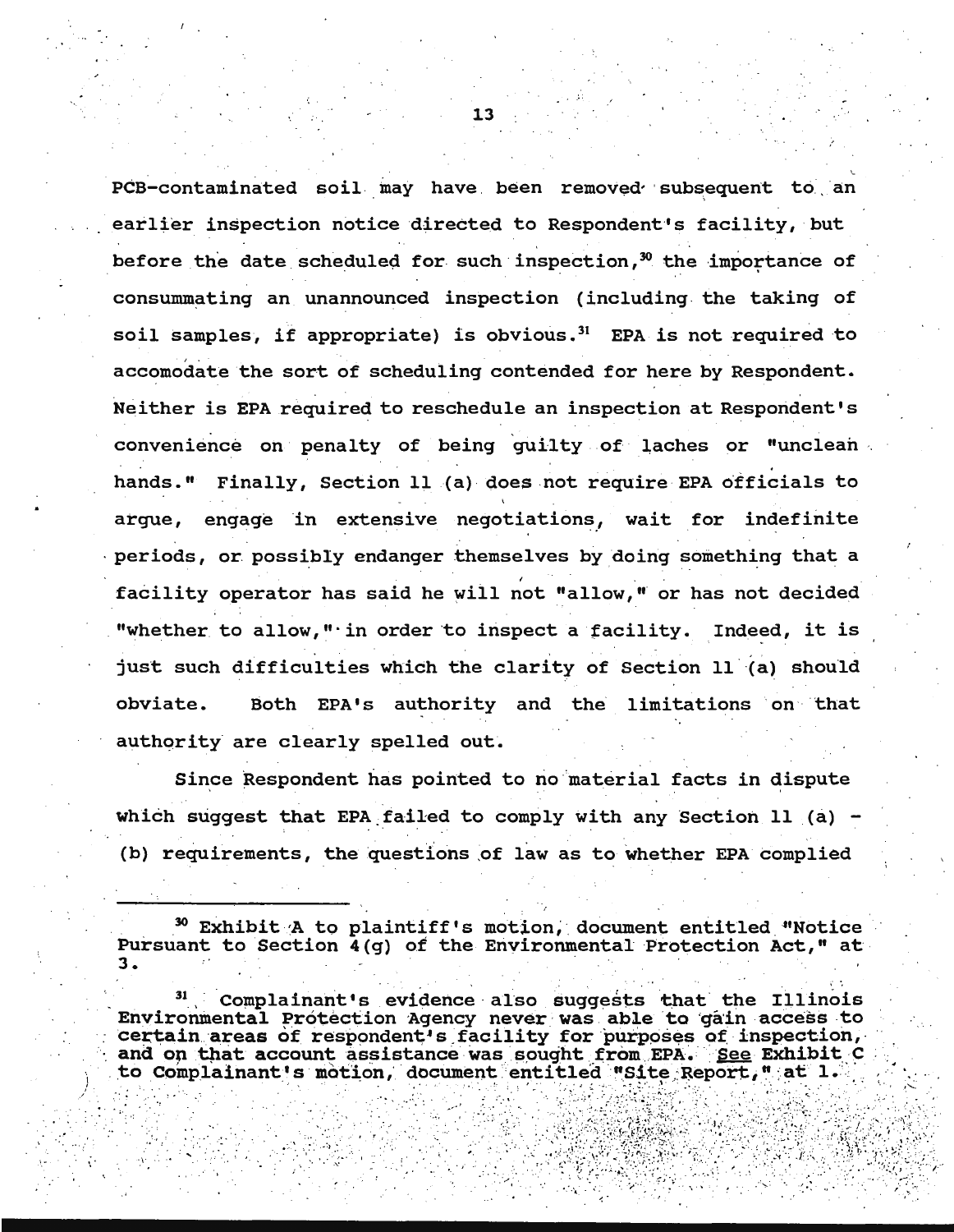.<br>PCB-contaminated soil may have been removed subsequent to an earlier inspection notice directed to Respondent's facility, but  $\mathcal{L} = \{ \mathcal{L} \mid \mathcal{L} \in \mathcal{L} \}$  . The set of the set of the set of the set of the set of the set of the set of the set of the set of the set of the set of the set of the set of the set of the set of the set of the set before the date scheduled for such inspection,<sup>30</sup> the importance of consummating an unannounced inspection (including the taking of soil samples, if appropriate) is obvious.<sup>31</sup> EPA is not required to accomodate the sort of scheduling contended for here by Respondent. . . Neither is EPA required to reschedule an inspection at Respondent's convenience on penalty of being guilty of laches or "unclean hands." Finally, Section 11 (a) does not require EPA officials to argue, engage in extensive negotiations, wait for indefinite periods, or possibly endanger themselves by doing something that a I facility operator has said he will not "allow," or has not decided "whether to allow," in order to inspect a facility. Indeed, it is just such difficulties which the clarity of Section 11 (a) should obviate. Both EPA's authority and the limitations on 'that authority are clearly spelled out.

Since Respondent has pointed to no material facts in dispute which suggest that EPA failed to comply with any Section 11 (a)  $-$ (b) requirements, the questions of law as to whether EPA complied

 $^{30}$  Exhibit A to plaintiff's motion, document entitled "Notice Pursuant to Section 4(g) of the Environmental Protection Act," at 3.

Complainant's evidence also suggests that the Illinois Environmental Protection Agency never was able to gain access to environmental Protection Agency never was able to gain access to<br>certain areas of respondent's facility for purposes of inspection,<br>and on that account assistance was sought from EPA. See Exhibit C<br>to Complainant's motion,

' ' *)* . ' ... .... ·.·. ,• ' ' ·,' , ' . '' . : : ' ';!~ : .. :::,~~~,}]~~~f(.;:::;~;~·:; ·.tf;{{·,j~,(·;~ ;~:. ,

<-

. . . .. *•:.-... .- .* .-;· ...... *.. ,. ..* : .. ~ .... •\ · .":"':--: ·" · ' .. -: . ..

*:\_· ,* 13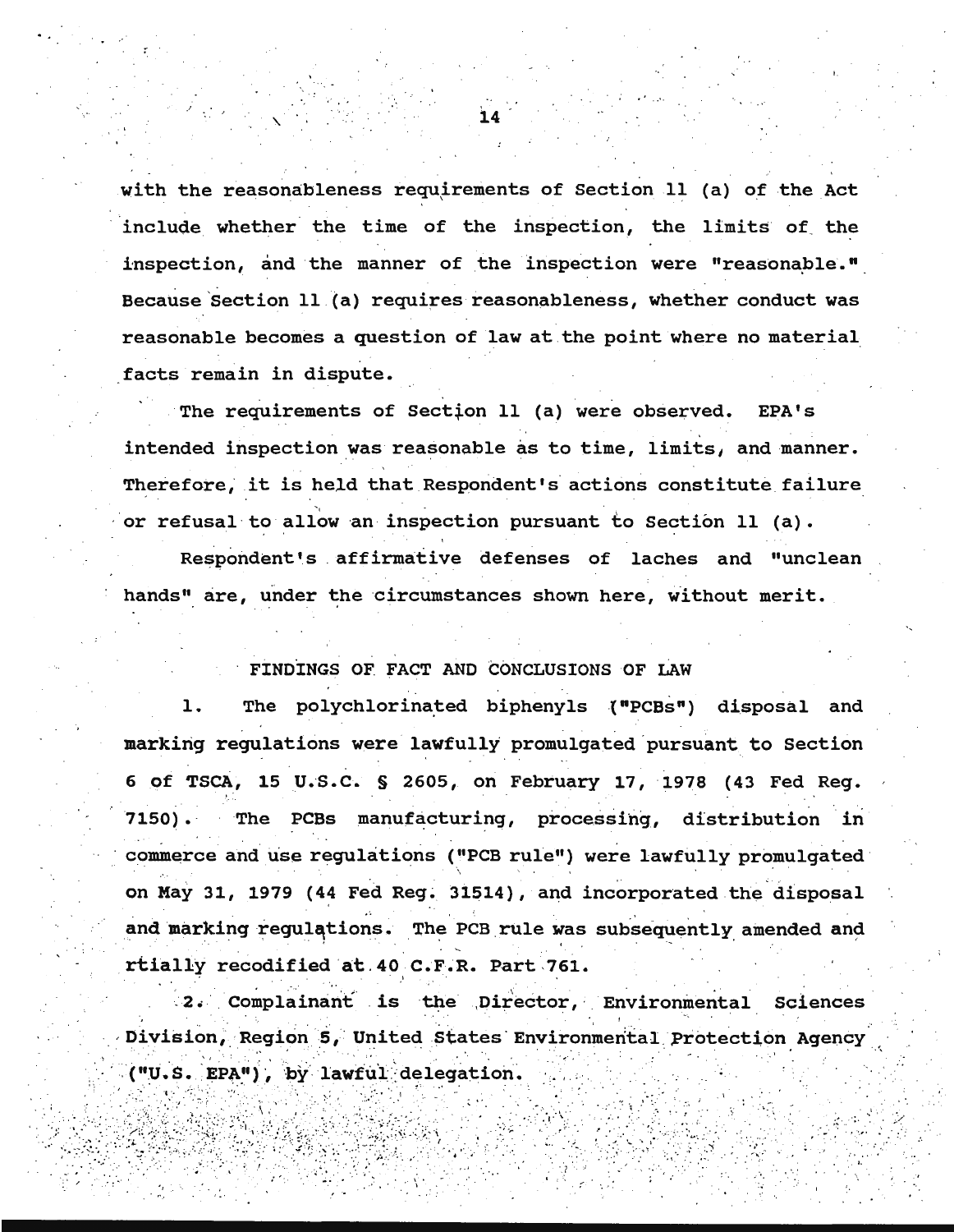with the reasonableness requirements of Section 11 (a) of the Act include whether the time of the inspection, the limits of the inspection, and the manner of the inspection were "reasonable." Because Section 11 (a) requires reasonableness, whether conduct was reasonable becomes a question of law at the point where no material facts remain in dispute.

The requirements of Section 11 (a) were observed.  $EPA'S$ intended inspection was reasonable as to time, limits, and manner. Therefore, it is held that Respondent's actions constitute failure or refusal to allow an inspection pursuant to Section 11 (a).

Respondent's affirmative defenses of laches and "unclean hands" are, under the circumstances shown here, without merit.

## FINDINGS OF FACT AND CONCLUSIONS OF LAW

The polychlorinated biphenyls ("PCBs") disposal and 1. marking regulations were lawfully promulgated pursuant to Section 6 of TSCA, 15 U.S.C. § 2605, on February 17, 1978 (43 Fed Reg.  $7150$ ). The PCBs manufacturing, processing, distribution in commerce and use regulations ("PCB rule") were lawfully promulgated on May 31, 1979 (44 Fed Reg. 31514), and incorporated the disposal and marking regulations. The PCB rule was subsequently amended and rtially recodified at 40 C.F.R. Part 761.

2. Complainant is the Director, Environmental Sciences Division, Region 5, United States Environmental Protection Agency ("U.S. EPA"), by lawful delegation.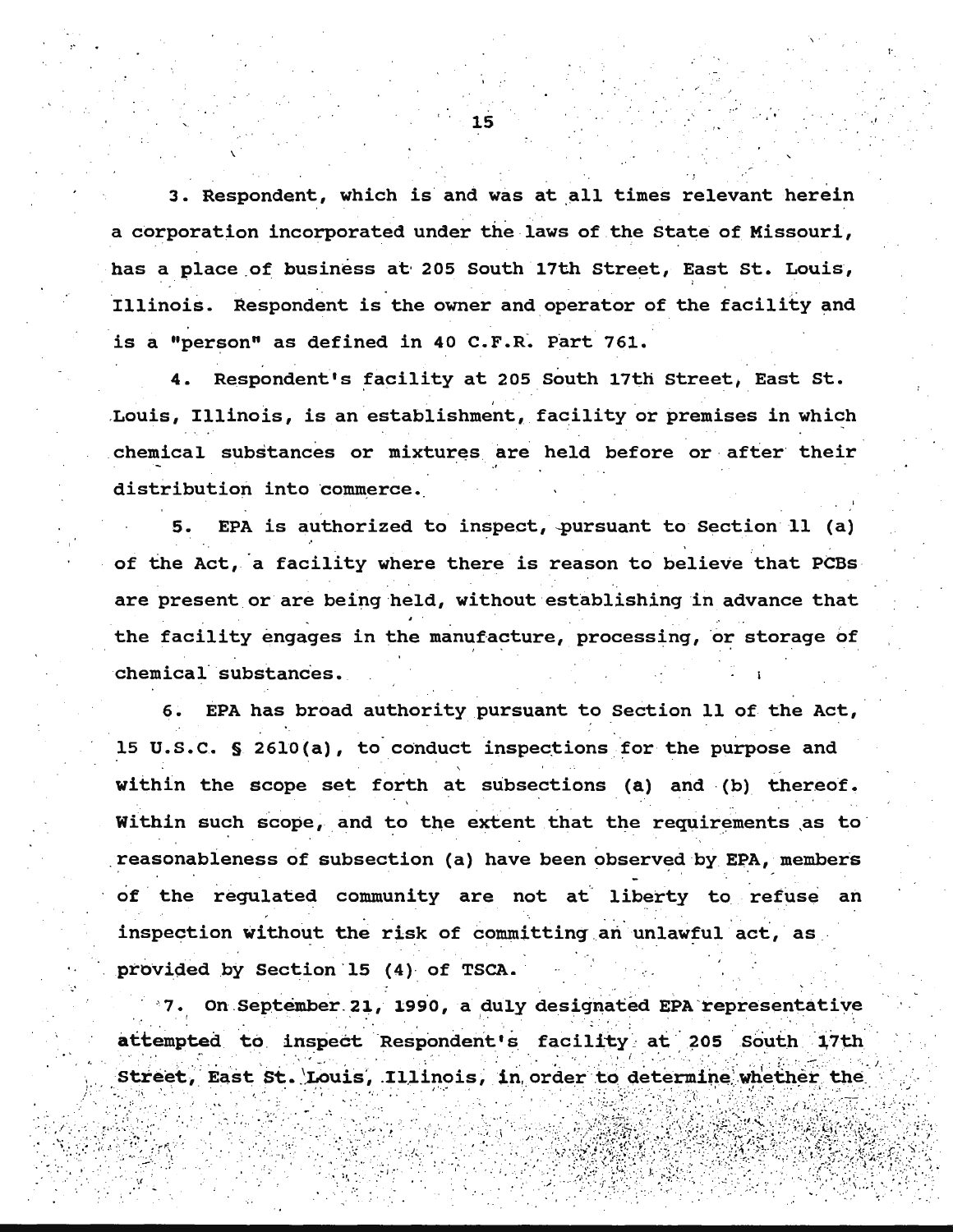3. Respondent, which is and was at all times relevant herein a corporation incorporated under the laws of the state of Missouri, has a place of business at 205 South 17th Street, East St. Louis, Illinois. Respondent is the owner and operator of the facility and is a "person" as defined in 40  $C.F.R.$  Part 761.

4. Respondent's facility at 205 South 17th Street, East St. Louis, Illinois, is an establishment, facility or premises in which chemical substances or mixtures are held before or after their distribution into commerce.

EPA is authorized to inspect, pursuant to Section  $11$  (a) of the Act, a facility where there is reason to believe that PCBs are present or are being held, without establishing in advance that the facility engages in the manufacture, processing, or storage of chemical substances.

6. EPA has broad authority pursuant to Section 11 of. the Act, 15 U.S.C. § 2610(a), to conduct inspections for the purpose and within the scope set forth at subsections (a) and (b) thereof. Within such scope, and to the extent that the requirements as to reasonableness of subsection (a) have been observed by EPA, members of the regulated community are not at liberty to refuse an inspection without the risk of committing an unlawful act, as provided by Section 15 (4) of TSCA.

7. On September 21, 1990, a duly designated EPA representative  $\mathcal{L} \times \mathcal{L} \rightarrow$ attempted to inspect Respondent's facility at 205 South 17th Street, East St. Louis, Illinois, in order to determine whether the

.: · .. < ....•;:• . ,:.' .;s-\: · ·. · ····i··.: ··•: . · ·. ·.· • ;·t< ·•·• ,;.:•··· . ··: · .• • :·. ':.:~;/;~ti~~~ i~?IW,·~~z~:.l·~,:f.~tR~~ .. \r~i,i,!\.',.<t ..

• • .·:. ' \_<(' . ... ••

' . . . •.

.<br>...

•' ..

 $\mathbf{v}$ 

·'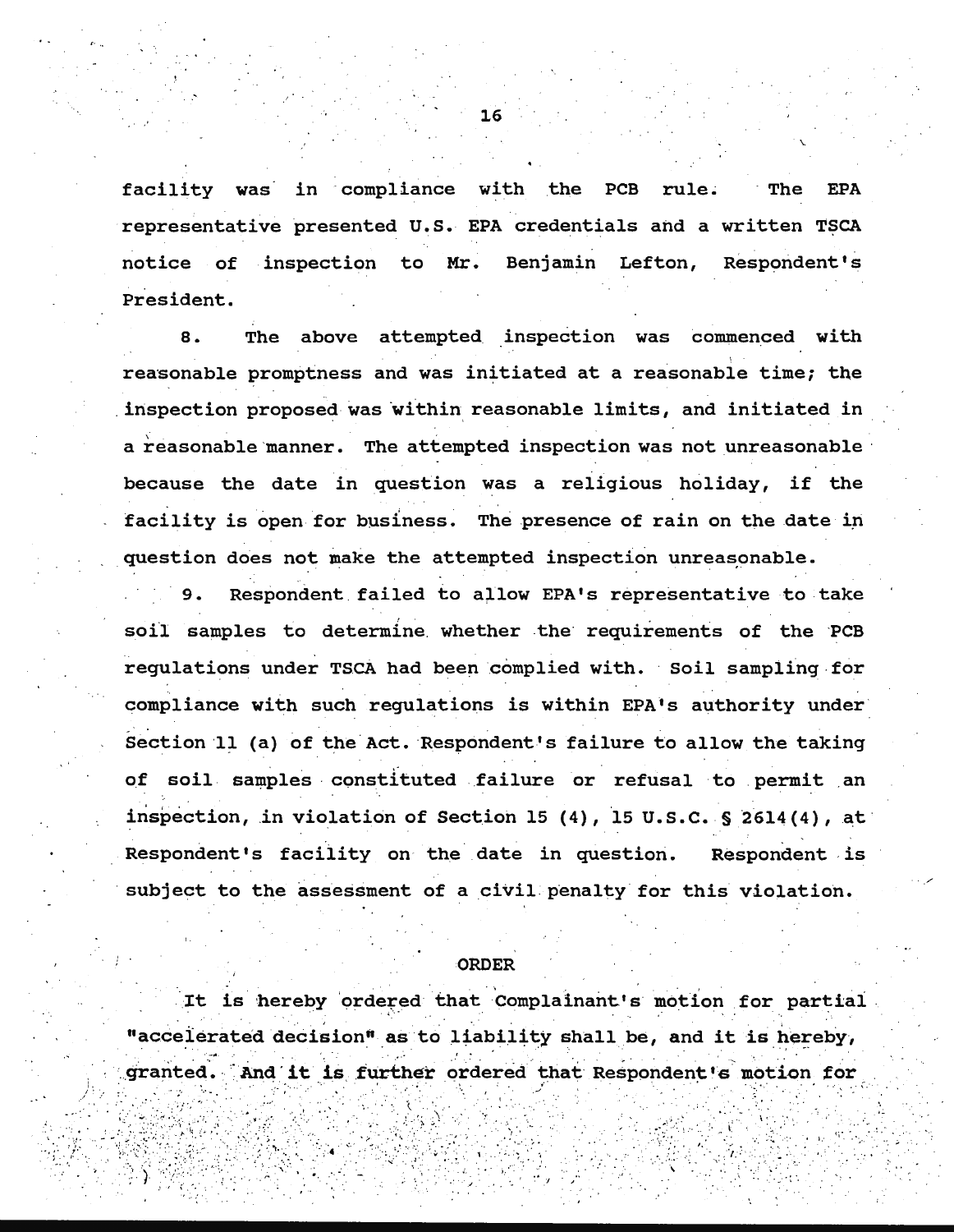facility was in compliance with the PCB rule. **EPA The** representative presented U.S. EPA credentials and a written TSCA notice of inspection to Mr. Benjamin Lefton, Respondent's President.

The above attempted inspection was commenced with 8. reasonable promptness and was initiated at a reasonable time; the inspection proposed was within reasonable limits, and initiated in a reasonable manner. The attempted inspection was not unreasonable because the date in question was a religious holiday, if the facility is open for business. The presence of rain on the date in question does not make the attempted inspection unreasonable.

 $9.$ Respondent failed to allow EPA's representative to take soil samples to determine whether the requirements of the PCB regulations under TSCA had been complied with. Soil sampling for compliance with such regulations is within EPA's authority under Section 11 (a) of the Act. Respondent's failure to allow the taking of soil samples constituted failure or refusal to permit an inspection, in violation of Section 15 (4), 15 U.S.C. § 2614(4), at Respondent's facility on the date in question. Respondent is subject to the assessment of a civil penalty for this violation.

#### **ORDER**

It is hereby ordered that Complainant's motion for partial "accelerated decision" as to liability shall be, and it is hereby, granted. And it is further ordered that Respondent's motion for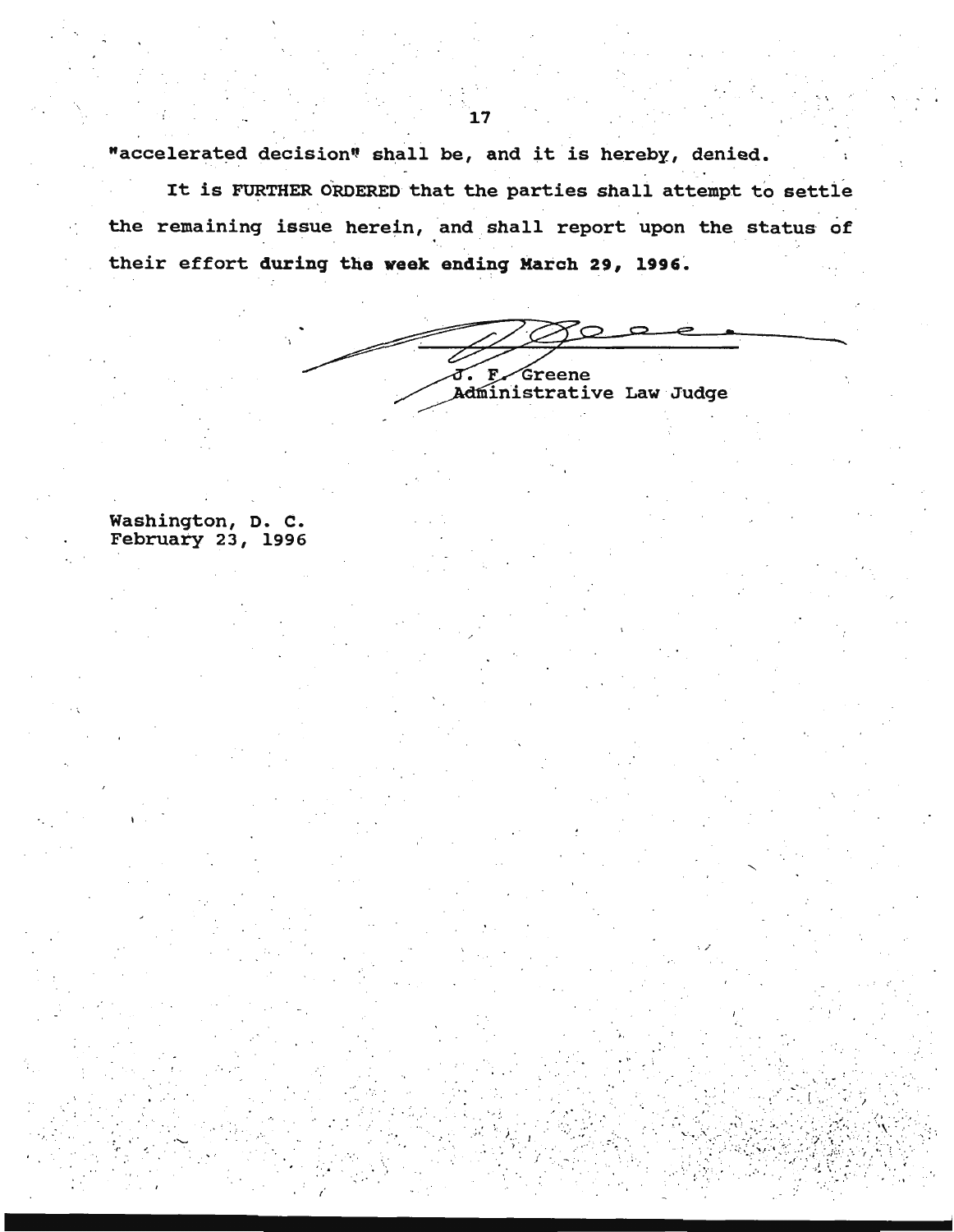"accelerated decision" shall be, and it is hereby, denied.

It is FURTHER ORDERED that the parties shall attempt to settle the remaining issue herein, and shall report upon the status of their effort during the week ending March 29, 1996.

J. F. Greene<br>Administrative Law Judge

· .. ·.

Washington, D. c. February 23, 1996

. . . . .  $\mathbb{R}^3$ 

 $\mathbb{R}^n \times \mathbb{R}^n$ 

 $\sim$  .

· ... , · '····

 $\mathbb{R}^{r \times r}$  ).  $\mathcal{L}=\frac{1}{2}$ 

.................................... \_\_\_\_\_\_\_\_ \_\_

 $\mathbb{S}^1$  .  $\cdot$  .  $\cdot$  : f . ...... :. . .:·. ·. *,:* 

' . :.'·' ...

 $\mathbf{I}$ 

. ·: . ,.

. . · -~· -[ .. ->-~ .. ·

<sup>~</sup>• . I '